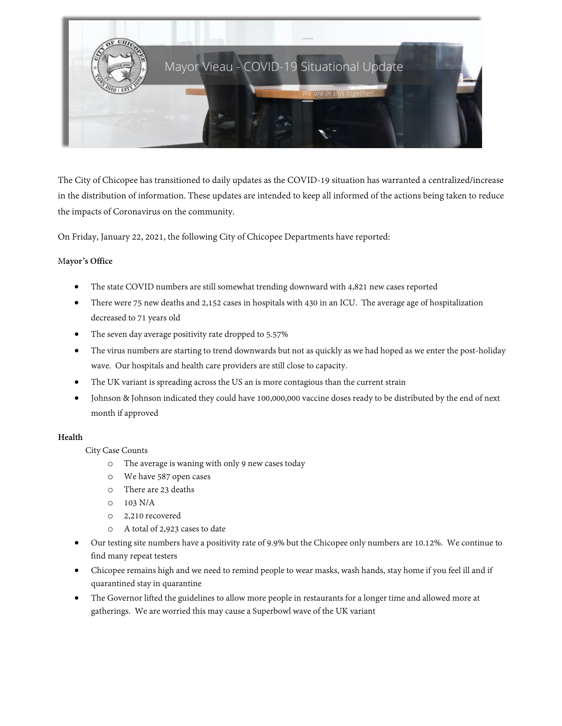

The City of Chicopee has transitioned to daily updates as the COVID-19 situation has warranted a centralized/increase in the distribution of information. These updates are intended to keep all informed of the actions being taken to reduce the impacts of Coronavirus on the community.

On Friday, January 22, 2021, the following City of Chicopee Departments have reported:

### M**ayor's Office**

- The state COVID numbers are still somewhat trending downward with 4,821 new cases reported
- There were 75 new deaths and 2,152 cases in hospitals with 430 in an ICU. The average age of hospitalization decreased to 71 years old
- The seven day average positivity rate dropped to 5.57%
- The virus numbers are starting to trend downwards but not as quickly as we had hoped as we enter the post-holiday wave. Our hospitals and health care providers are still close to capacity.
- The UK variant is spreading across the US an is more contagious than the current strain
- Johnson & Johnson indicated they could have 100,000,000 vaccine doses ready to be distributed by the end of next month if approved

### **Health**

City Case Counts

- o The average is waning with only 9 new cases today
- o We have 587 open cases
- o There are 23 deaths
- o 103 N/A
- o 2,210 recovered
- o A total of 2,923 cases to date
- Our testing site numbers have a positivity rate of 9.9% but the Chicopee only numbers are 10.12%. We continue to find many repeat testers
- Chicopee remains high and we need to remind people to wear masks, wash hands, stay home if you feel ill and if quarantined stay in quarantine
- The Governor lifted the guidelines to allow more people in restaurants for a longer time and allowed more at gatherings. We are worried this may cause a Superbowl wave of the UK variant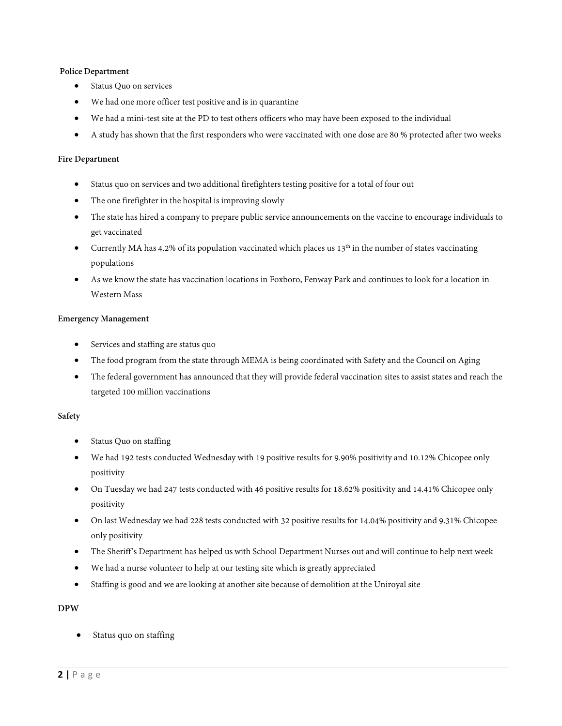### **Police Department**

- Status Quo on services
- We had one more officer test positive and is in quarantine
- We had a mini-test site at the PD to test others officers who may have been exposed to the individual
- A study has shown that the first responders who were vaccinated with one dose are 80 % protected after two weeks

#### **Fire Department**

- Status quo on services and two additional firefighters testing positive for a total of four out
- The one firefighter in the hospital is improving slowly
- The state has hired a company to prepare public service announcements on the vaccine to encourage individuals to get vaccinated
- Currently MA has 4.2% of its population vaccinated which places us  $13<sup>th</sup>$  in the number of states vaccinating populations
- As we know the state has vaccination locations in Foxboro, Fenway Park and continues to look for a location in Western Mass

#### **Emergency Management**

- Services and staffing are status quo
- The food program from the state through MEMA is being coordinated with Safety and the Council on Aging
- The federal government has announced that they will provide federal vaccination sites to assist states and reach the targeted 100 million vaccinations

### **Safety**

- Status Quo on staffing
- We had 192 tests conducted Wednesday with 19 positive results for 9.90% positivity and 10.12% Chicopee only positivity
- On Tuesday we had 247 tests conducted with 46 positive results for 18.62% positivity and 14.41% Chicopee only positivity
- On last Wednesday we had 228 tests conducted with 32 positive results for 14.04% positivity and 9.31% Chicopee only positivity
- The Sheriff's Department has helped us with School Department Nurses out and will continue to help next week
- We had a nurse volunteer to help at our testing site which is greatly appreciated
- Staffing is good and we are looking at another site because of demolition at the Uniroyal site

### **DPW**

Status quo on staffing